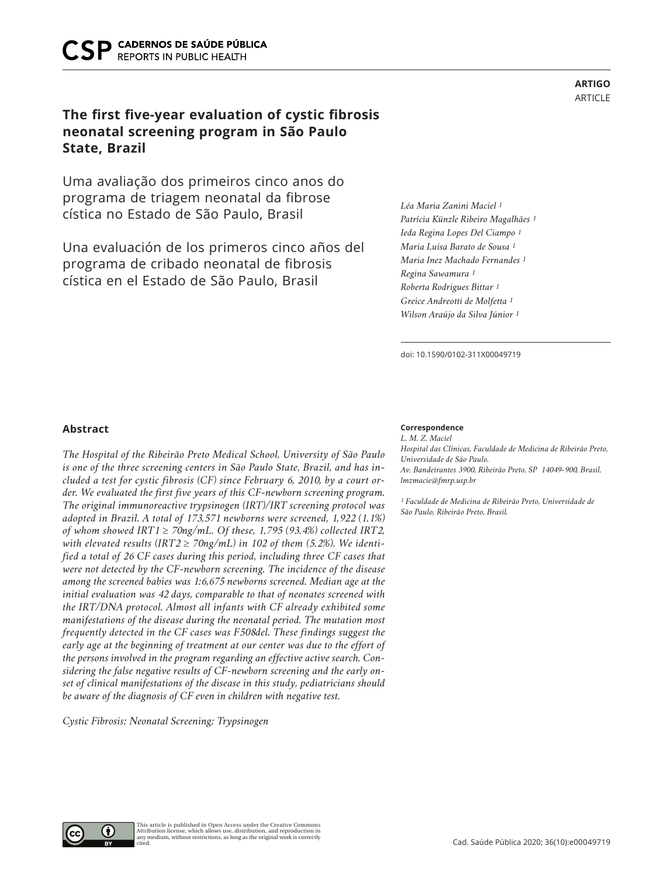# **The first five-year evaluation of cystic fibrosis neonatal screening program in São Paulo State, Brazil**

Uma avaliação dos primeiros cinco anos do programa de triagem neonatal da fibrose cística no Estado de São Paulo, Brasil

Una evaluación de los primeros cinco años del programa de cribado neonatal de fibrosis cística en el Estado de São Paulo, Brasil

*Léa Maria Zanini Maciel 1 Patrícia Künzle Ribeiro Magalhães 1 Ieda Regina Lopes Del Ciampo 1 Maria Luísa Barato de Sousa 1 Maria Inez Machado Fernandes 1 Regina Sawamura 1 Roberta Rodrigues Bittar 1 Greice Andreotti de Molfetta 1 Wilson Araújo da Silva Júnior 1*

doi: 10.1590/0102-311X00049719

### **Abstract**

*The Hospital of the Ribeirão Preto Medical School, University of São Paulo is one of the three screening centers in São Paulo State, Brazil, and has included a test for cystic fibrosis (CF) since February 6, 2010, by a court order. We evaluated the first five years of this CF-newborn screening program. The original immunoreactive trypsinogen (IRT)/IRT screening protocol was adopted in Brazil. A total of 173,571 newborns were screened, 1,922 (1.1%) of whom showed IRT1* ≥ *70ng/mL. Of these, 1,795 (93.4%) collected IRT2,*  with elevated results (IRT2  $\geq$  70ng/mL) in 102 of them (5.2%). We identi*fied a total of 26 CF cases during this period, including three CF cases that were not detected by the CF-newborn screening. The incidence of the disease among the screened babies was 1:6,675 newborns screened. Median age at the initial evaluation was 42 days, comparable to that of neonates screened with the IRT/DNA protocol. Almost all infants with CF already exhibited some manifestations of the disease during the neonatal period. The mutation most frequently detected in the CF cases was F508del. These findings suggest the early age at the beginning of treatment at our center was due to the effort of the persons involved in the program regarding an effective active search. Considering the false negative results of CF-newborn screening and the early onset of clinical manifestations of the disease in this study, pediatricians should be aware of the diagnosis of CF even in children with negative test.* 

*Cystic Fibrosis; Neonatal Screening; Trypsinogen*

#### **Correspondence**

*L. M. Z. Maciel Hospital das Clínicas, Faculdade de Medicina de Ribeirão Preto, Universidade de São Paulo. Av. Bandeirantes 3900, Ribeirão Preto, SP 14049-900, Brasil. lmzmacie@fmrp.usp.br*

*1 Faculdade de Medicina de Ribeirão Preto, Universidade de São Paulo, Ribeirão Preto, Brasil.* 

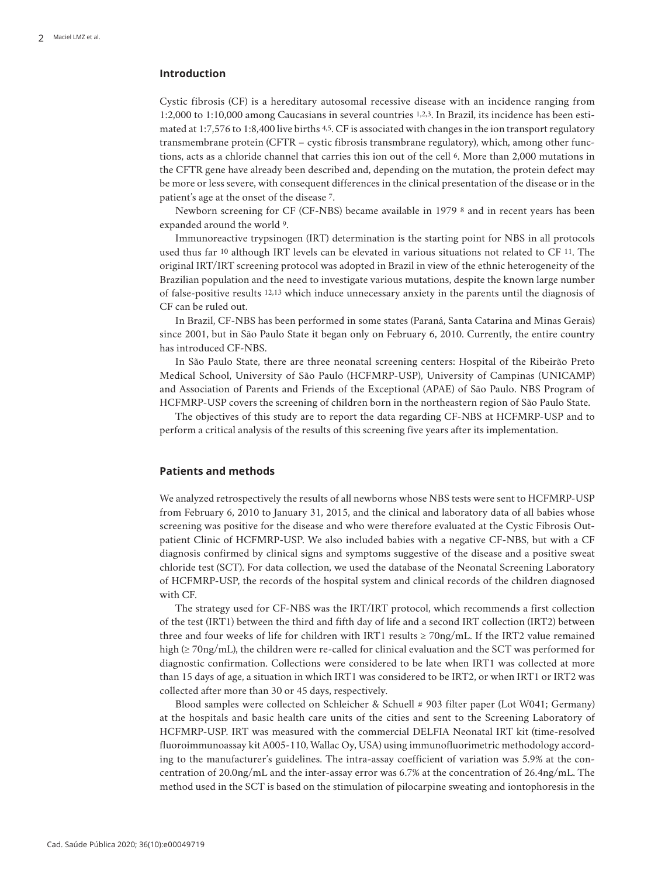## **Introduction**

Cystic fibrosis (CF) is a hereditary autosomal recessive disease with an incidence ranging from 1:2,000 to 1:10,000 among Caucasians in several countries 1,2,3. In Brazil, its incidence has been estimated at 1:7,576 to 1:8,400 live births 4,5. CF is associated with changes in the ion transport regulatory transmembrane protein (CFTR – cystic fibrosis transmbrane regulatory), which, among other functions, acts as a chloride channel that carries this ion out of the cell 6. More than 2,000 mutations in the CFTR gene have already been described and, depending on the mutation, the protein defect may be more or less severe, with consequent differences in the clinical presentation of the disease or in the patient's age at the onset of the disease 7.

Newborn screening for CF (CF-NBS) became available in 1979 8 and in recent years has been expanded around the world 9.

Immunoreactive trypsinogen (IRT) determination is the starting point for NBS in all protocols used thus far 10 although IRT levels can be elevated in various situations not related to CF 11. The original IRT/IRT screening protocol was adopted in Brazil in view of the ethnic heterogeneity of the Brazilian population and the need to investigate various mutations, despite the known large number of false-positive results 12,13 which induce unnecessary anxiety in the parents until the diagnosis of CF can be ruled out.

In Brazil, CF-NBS has been performed in some states (Paraná, Santa Catarina and Minas Gerais) since 2001, but in São Paulo State it began only on February 6, 2010. Currently, the entire country has introduced CF-NBS.

In São Paulo State, there are three neonatal screening centers: Hospital of the Ribeirão Preto Medical School, University of São Paulo (HCFMRP-USP), University of Campinas (UNICAMP) and Association of Parents and Friends of the Exceptional (APAE) of São Paulo. NBS Program of HCFMRP-USP covers the screening of children born in the northeastern region of São Paulo State.

The objectives of this study are to report the data regarding CF-NBS at HCFMRP-USP and to perform a critical analysis of the results of this screening five years after its implementation.

#### **Patients and methods**

We analyzed retrospectively the results of all newborns whose NBS tests were sent to HCFMRP-USP from February 6, 2010 to January 31, 2015, and the clinical and laboratory data of all babies whose screening was positive for the disease and who were therefore evaluated at the Cystic Fibrosis Outpatient Clinic of HCFMRP-USP. We also included babies with a negative CF-NBS, but with a CF diagnosis confirmed by clinical signs and symptoms suggestive of the disease and a positive sweat chloride test (SCT). For data collection, we used the database of the Neonatal Screening Laboratory of HCFMRP-USP, the records of the hospital system and clinical records of the children diagnosed with CF.

The strategy used for CF-NBS was the IRT/IRT protocol, which recommends a first collection of the test (IRT1) between the third and fifth day of life and a second IRT collection (IRT2) between three and four weeks of life for children with IRT1 results  $\geq 70$ ng/mL. If the IRT2 value remained high (≥ 70ng/mL), the children were re-called for clinical evaluation and the SCT was performed for diagnostic confirmation. Collections were considered to be late when IRT1 was collected at more than 15 days of age, a situation in which IRT1 was considered to be IRT2, or when IRT1 or IRT2 was collected after more than 30 or 45 days, respectively.

Blood samples were collected on Schleicher & Schuell # 903 filter paper (Lot W041; Germany) at the hospitals and basic health care units of the cities and sent to the Screening Laboratory of HCFMRP-USP. IRT was measured with the commercial DELFIA Neonatal IRT kit (time-resolved fluoroimmunoassay kit A005-110, Wallac Oy, USA) using immunofluorimetric methodology according to the manufacturer's guidelines. The intra-assay coefficient of variation was 5.9% at the concentration of 20.0ng/mL and the inter-assay error was 6.7% at the concentration of 26.4ng/mL. The method used in the SCT is based on the stimulation of pilocarpine sweating and iontophoresis in the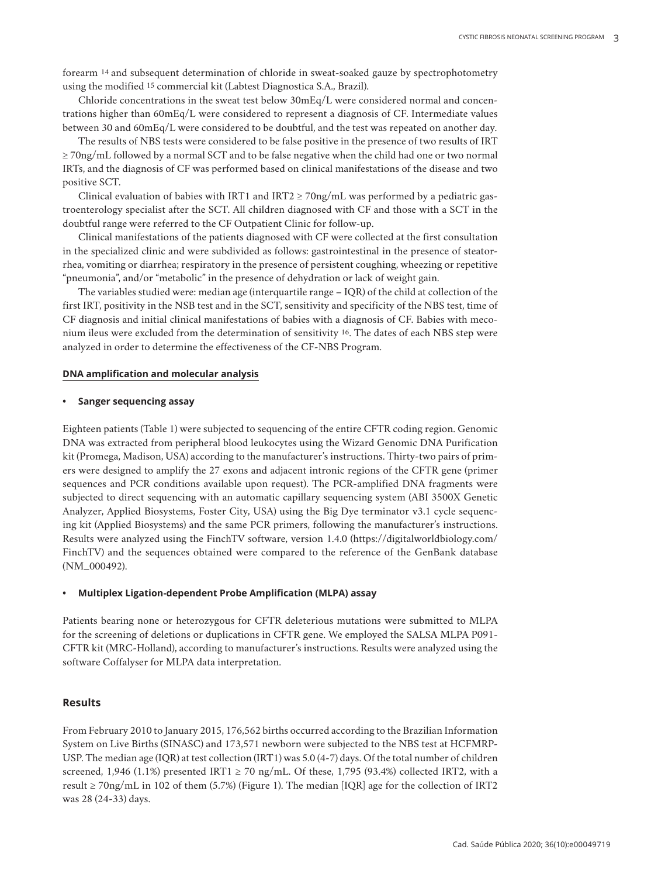forearm 14 and subsequent determination of chloride in sweat-soaked gauze by spectrophotometry using the modified 15 commercial kit (Labtest Diagnostica S.A., Brazil).

Chloride concentrations in the sweat test below 30mEq/L were considered normal and concentrations higher than 60mEq/L were considered to represent a diagnosis of CF. Intermediate values between 30 and 60mEq/L were considered to be doubtful, and the test was repeated on another day.

The results of NBS tests were considered to be false positive in the presence of two results of IRT ≥ 70ng/mL followed by a normal SCT and to be false negative when the child had one or two normal IRTs, and the diagnosis of CF was performed based on clinical manifestations of the disease and two positive SCT.

Clinical evaluation of babies with IRT1 and IRT2  $\geq$  70ng/mL was performed by a pediatric gastroenterology specialist after the SCT. All children diagnosed with CF and those with a SCT in the doubtful range were referred to the CF Outpatient Clinic for follow-up.

Clinical manifestations of the patients diagnosed with CF were collected at the first consultation in the specialized clinic and were subdivided as follows: gastrointestinal in the presence of steatorrhea, vomiting or diarrhea; respiratory in the presence of persistent coughing, wheezing or repetitive "pneumonia", and/or "metabolic" in the presence of dehydration or lack of weight gain.

The variables studied were: median age (interquartile range – IQR) of the child at collection of the first IRT, positivity in the NSB test and in the SCT, sensitivity and specificity of the NBS test, time of CF diagnosis and initial clinical manifestations of babies with a diagnosis of CF. Babies with meconium ileus were excluded from the determination of sensitivity 16. The dates of each NBS step were analyzed in order to determine the effectiveness of the CF-NBS Program.

### **DNA amplification and molecular analysis**

#### **• Sanger sequencing assay**

Eighteen patients (Table 1) were subjected to sequencing of the entire CFTR coding region. Genomic DNA was extracted from peripheral blood leukocytes using the Wizard Genomic DNA Purification kit (Promega, Madison, USA) according to the manufacturer's instructions. Thirty-two pairs of primers were designed to amplify the 27 exons and adjacent intronic regions of the CFTR gene (primer sequences and PCR conditions available upon request). The PCR-amplified DNA fragments were subjected to direct sequencing with an automatic capillary sequencing system (ABI 3500X Genetic Analyzer, Applied Biosystems, Foster City, USA) using the Big Dye terminator v3.1 cycle sequencing kit (Applied Biosystems) and the same PCR primers, following the manufacturer's instructions. Results were analyzed using the FinchTV software, version 1.4.0 (https://digitalworldbiology.com/ FinchTV) and the sequences obtained were compared to the reference of the GenBank database (NM\_000492).

#### **• Multiplex Ligation-dependent Probe Amplification (MLPA) assay**

Patients bearing none or heterozygous for CFTR deleterious mutations were submitted to MLPA for the screening of deletions or duplications in CFTR gene. We employed the SALSA MLPA P091- CFTR kit (MRC-Holland), according to manufacturer's instructions. Results were analyzed using the software Coffalyser for MLPA data interpretation.

## **Results**

From February 2010 to January 2015, 176,562 births occurred according to the Brazilian Information System on Live Births (SINASC) and 173,571 newborn were subjected to the NBS test at HCFMRP-USP. The median age (IQR) at test collection (IRT1) was 5.0 (4-7) days. Of the total number of children screened, 1,946 (1.1%) presented IRT1  $\geq$  70 ng/mL. Of these, 1,795 (93.4%) collected IRT2, with a result ≥ 70ng/mL in 102 of them (5.7%) (Figure 1). The median [IQR] age for the collection of IRT2 was 28 (24-33) days.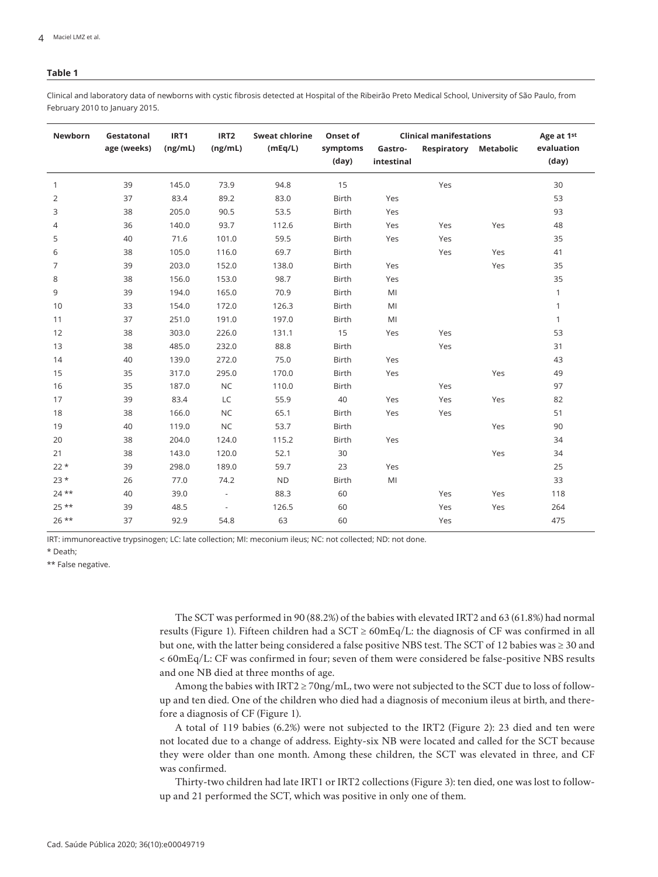#### **Table 1**

Clinical and laboratory data of newborns with cystic fibrosis detected at Hospital of the Ribeirão Preto Medical School, University of São Paulo, from February 2010 to January 2015.

| Newborn        | Gestatonal  | IRT1    | IRT <sub>2</sub>         | <b>Sweat chlorine</b> | Onset of     | <b>Clinical manifestations</b> |             |                  | Age at 1st   |
|----------------|-------------|---------|--------------------------|-----------------------|--------------|--------------------------------|-------------|------------------|--------------|
|                | age (weeks) | (ng/mL) | (ng/mL)                  | (mEq/L)               | symptoms     | Gastro-                        | Respiratory | <b>Metabolic</b> | evaluation   |
|                |             |         |                          |                       | (day)        | intestinal                     |             |                  | (day)        |
| $\mathbf{1}$   | 39          | 145.0   | 73.9                     | 94.8                  | 15           |                                | Yes         |                  | 30           |
| 2              | 37          | 83.4    | 89.2                     | 83.0                  | Birth        | Yes                            |             |                  | 53           |
| 3              | 38          | 205.0   | 90.5                     | 53.5                  | Birth        | Yes                            |             |                  | 93           |
| $\overline{4}$ | 36          | 140.0   | 93.7                     | 112.6                 | Birth        | Yes                            | Yes         | Yes              | 48           |
| 5              | 40          | 71.6    | 101.0                    | 59.5                  | <b>Birth</b> | Yes                            | Yes         |                  | 35           |
| 6              | 38          | 105.0   | 116.0                    | 69.7                  | Birth        |                                | Yes         | Yes              | 41           |
| $\overline{7}$ | 39          | 203.0   | 152.0                    | 138.0                 | Birth        | Yes                            |             | Yes              | 35           |
| 8              | 38          | 156.0   | 153.0                    | 98.7                  | Birth        | Yes                            |             |                  | 35           |
| 9              | 39          | 194.0   | 165.0                    | 70.9                  | Birth        | MI                             |             |                  | $\mathbf{1}$ |
| 10             | 33          | 154.0   | 172.0                    | 126.3                 | <b>Birth</b> | MI                             |             |                  | $\mathbf{1}$ |
| 11             | 37          | 251.0   | 191.0                    | 197.0                 | Birth        | MI                             |             |                  | $\mathbf{1}$ |
| 12             | 38          | 303.0   | 226.0                    | 131.1                 | 15           | Yes                            | Yes         |                  | 53           |
| 13             | 38          | 485.0   | 232.0                    | 88.8                  | <b>Birth</b> |                                | Yes         |                  | 31           |
| 14             | 40          | 139.0   | 272.0                    | 75.0                  | <b>Birth</b> | Yes                            |             |                  | 43           |
| 15             | 35          | 317.0   | 295.0                    | 170.0                 | Birth        | Yes                            |             | Yes              | 49           |
| 16             | 35          | 187.0   | <b>NC</b>                | 110.0                 | <b>Birth</b> |                                | Yes         |                  | 97           |
| 17             | 39          | 83.4    | LC                       | 55.9                  | 40           | Yes                            | Yes         | Yes              | 82           |
| 18             | 38          | 166.0   | <b>NC</b>                | 65.1                  | Birth        | Yes                            | Yes         |                  | 51           |
| 19             | 40          | 119.0   | <b>NC</b>                | 53.7                  | Birth        |                                |             | Yes              | 90           |
| 20             | 38          | 204.0   | 124.0                    | 115.2                 | <b>Birth</b> | Yes                            |             |                  | 34           |
| 21             | 38          | 143.0   | 120.0                    | 52.1                  | 30           |                                |             | Yes              | 34           |
| $22*$          | 39          | 298.0   | 189.0                    | 59.7                  | 23           | Yes                            |             |                  | 25           |
| $23*$          | 26          | 77.0    | 74.2                     | <b>ND</b>             | Birth        | MI                             |             |                  | 33           |
| $24$ **        | 40          | 39.0    | $\overline{\phantom{a}}$ | 88.3                  | 60           |                                | Yes         | Yes              | 118          |
| $25***$        | 39          | 48.5    | $\overline{\phantom{a}}$ | 126.5                 | 60           |                                | Yes         | Yes              | 264          |
| $26$ **        | 37          | 92.9    | 54.8                     | 63                    | 60           |                                | Yes         |                  | 475          |

IRT: immunoreactive trypsinogen; LC: late collection; MI: meconium ileus; NC: not collected; ND: not done.

\* Death;

\*\* False negative.

The SCT was performed in 90 (88.2%) of the babies with elevated IRT2 and 63 (61.8%) had normal results (Figure 1). Fifteen children had a  $SCT \ge 60 \text{mEq/L}$ : the diagnosis of CF was confirmed in all but one, with the latter being considered a false positive NBS test. The SCT of 12 babies was ≥ 30 and < 60mEq/L: CF was confirmed in four; seven of them were considered be false-positive NBS results and one NB died at three months of age.

Among the babies with IRT2  $\geq$  70ng/mL, two were not subjected to the SCT due to loss of followup and ten died. One of the children who died had a diagnosis of meconium ileus at birth, and therefore a diagnosis of CF (Figure 1).

A total of 119 babies (6.2%) were not subjected to the IRT2 (Figure 2): 23 died and ten were not located due to a change of address. Eighty-six NB were located and called for the SCT because they were older than one month. Among these children, the SCT was elevated in three, and CF was confirmed.

Thirty-two children had late IRT1 or IRT2 collections (Figure 3): ten died, one was lost to followup and 21 performed the SCT, which was positive in only one of them.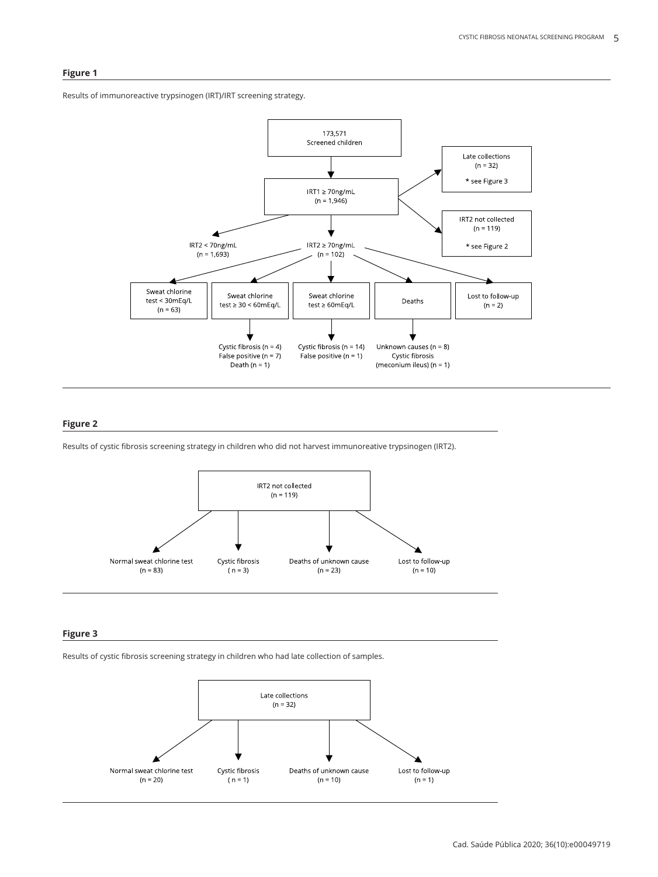### **Figure 1**

Results of immunoreactive trypsinogen (IRT)/IRT screening strategy.



### **Figure 2**

Results of cystic fibrosis screening strategy in children who did not harvest immunoreative trypsinogen (IRT2).



### **Figure 3**

Results of cystic fibrosis screening strategy in children who had late collection of samples.

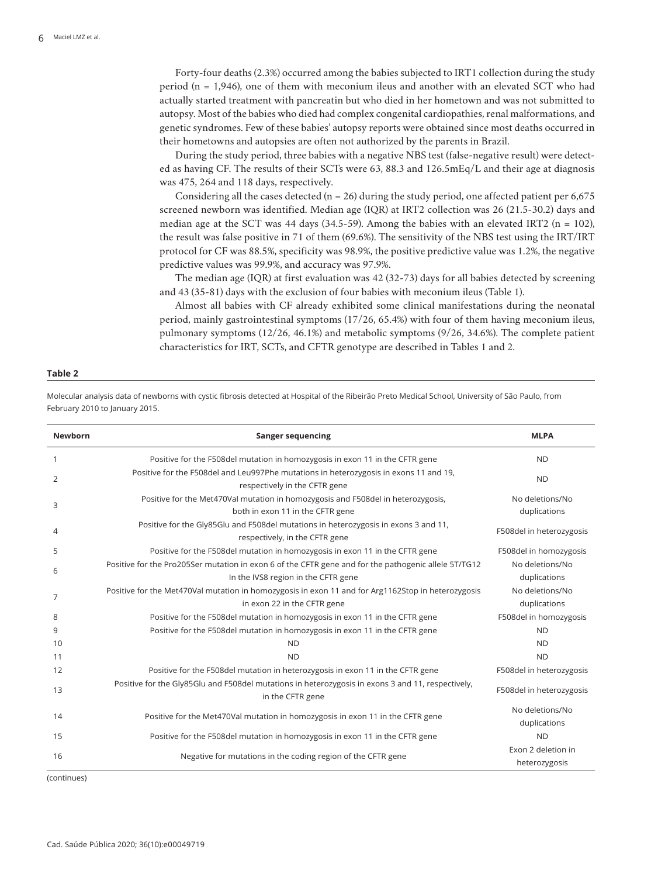Forty-four deaths (2.3%) occurred among the babies subjected to IRT1 collection during the study period (n = 1,946), one of them with meconium ileus and another with an elevated SCT who had actually started treatment with pancreatin but who died in her hometown and was not submitted to autopsy. Most of the babies who died had complex congenital cardiopathies, renal malformations, and genetic syndromes. Few of these babies' autopsy reports were obtained since most deaths occurred in their hometowns and autopsies are often not authorized by the parents in Brazil.

During the study period, three babies with a negative NBS test (false-negative result) were detected as having CF. The results of their SCTs were 63, 88.3 and 126.5mEq/L and their age at diagnosis was 475, 264 and 118 days, respectively.

Considering all the cases detected ( $n = 26$ ) during the study period, one affected patient per 6,675 screened newborn was identified. Median age (IQR) at IRT2 collection was 26 (21.5-30.2) days and median age at the SCT was 44 days (34.5-59). Among the babies with an elevated IRT2 ( $n = 102$ ), the result was false positive in 71 of them (69.6%). The sensitivity of the NBS test using the IRT/IRT protocol for CF was 88.5%, specificity was 98.9%, the positive predictive value was 1.2%, the negative predictive values was 99.9%, and accuracy was 97.9%.

The median age (IQR) at first evaluation was 42 (32-73) days for all babies detected by screening and 43 (35-81) days with the exclusion of four babies with meconium ileus (Table 1).

Almost all babies with CF already exhibited some clinical manifestations during the neonatal period, mainly gastrointestinal symptoms (17/26, 65.4%) with four of them having meconium ileus, pulmonary symptoms (12/26, 46.1%) and metabolic symptoms (9/26, 34.6%). The complete patient characteristics for IRT, SCTs, and CFTR genotype are described in Tables 1 and 2.

#### **Table 2**

Molecular analysis data of newborns with cystic fibrosis detected at Hospital of the Ribeirão Preto Medical School, University of São Paulo, from February 2010 to January 2015.

| <b>Newborn</b> | <b>Sanger sequencing</b>                                                                                                                    | <b>MLPA</b>                         |
|----------------|---------------------------------------------------------------------------------------------------------------------------------------------|-------------------------------------|
| $\mathbf{1}$   | Positive for the F508del mutation in homozygosis in exon 11 in the CFTR gene                                                                | <b>ND</b>                           |
| 2              | Positive for the F508del and Leu997Phe mutations in heterozygosis in exons 11 and 19,<br>respectively in the CFTR gene                      | <b>ND</b>                           |
| 3              | Positive for the Met470Val mutation in homozygosis and F508del in heterozygosis,<br>both in exon 11 in the CFTR gene                        | No deletions/No<br>duplications     |
| $\overline{4}$ | Positive for the Gly85Glu and F508del mutations in heterozygosis in exons 3 and 11,<br>respectively, in the CFTR gene                       | F508del in heterozygosis            |
| 5              | Positive for the F508del mutation in homozygosis in exon 11 in the CFTR gene                                                                | F508del in homozygosis              |
| 6              | Positive for the Pro205Ser mutation in exon 6 of the CFTR gene and for the pathogenic allele 5T/TG12<br>In the IVS8 region in the CFTR gene | No deletions/No<br>duplications     |
| 7              | Positive for the Met470Val mutation in homozygosis in exon 11 and for Arg1162Stop in heterozygosis<br>in exon 22 in the CFTR gene           | No deletions/No<br>duplications     |
| 8              | Positive for the F508del mutation in homozygosis in exon 11 in the CFTR gene                                                                | F508del in homozygosis              |
| 9              | Positive for the F508del mutation in homozygosis in exon 11 in the CFTR gene                                                                | <b>ND</b>                           |
| 10             | <b>ND</b>                                                                                                                                   | <b>ND</b>                           |
| 11             | <b>ND</b>                                                                                                                                   | <b>ND</b>                           |
| 12             | Positive for the F508del mutation in heterozygosis in exon 11 in the CFTR gene                                                              | F508del in heterozygosis            |
| 13             | Positive for the Gly85Glu and F508del mutations in heterozygosis in exons 3 and 11, respectively,<br>in the CFTR gene                       | F508del in heterozygosis            |
| 14             | Positive for the Met470Val mutation in homozygosis in exon 11 in the CFTR gene                                                              | No deletions/No<br>duplications     |
| 15             | Positive for the F508del mutation in homozygosis in exon 11 in the CFTR gene                                                                | <b>ND</b>                           |
| 16             | Negative for mutations in the coding region of the CFTR gene                                                                                | Exon 2 deletion in<br>heterozygosis |

(continues)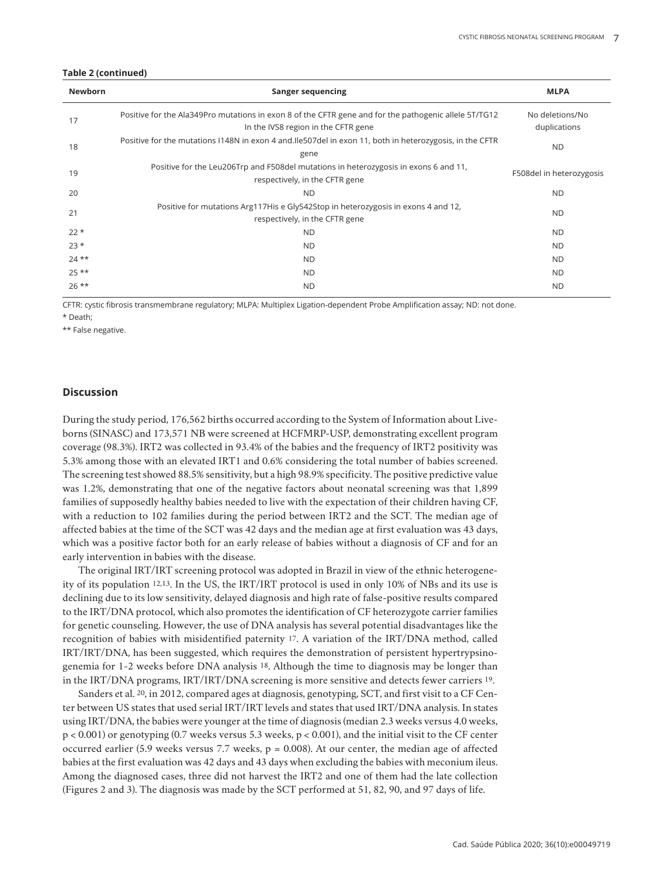#### **Table 2 (continued)**

| <b>Newborn</b> | Sanger sequencing                                                                                                                            | <b>MLPA</b>                     |
|----------------|----------------------------------------------------------------------------------------------------------------------------------------------|---------------------------------|
| 17             | Positive for the Ala349Pro mutations in exon 8 of the CFTR gene and for the pathogenic allele 5T/TG12<br>In the IVS8 region in the CFTR gene | No deletions/No<br>duplications |
| 18             | Positive for the mutations I148N in exon 4 and. Ile 507del in exon 11, both in heterozygosis, in the CFTR<br>gene                            | <b>ND</b>                       |
| 19             | Positive for the Leu206Trp and F508del mutations in heterozygosis in exons 6 and 11,<br>respectively, in the CFTR gene                       | F508del in heterozygosis        |
| 20             | <b>ND</b>                                                                                                                                    | <b>ND</b>                       |
| 21             | Positive for mutations Arg117His e Gly542Stop in heterozygosis in exons 4 and 12,<br>respectively, in the CFTR gene                          | <b>ND</b>                       |
| $22*$          | <b>ND</b>                                                                                                                                    | ND.                             |
| $23*$          | <b>ND</b>                                                                                                                                    | <b>ND</b>                       |
| $24$ **        | <b>ND</b>                                                                                                                                    | <b>ND</b>                       |
| $25**$         | <b>ND</b>                                                                                                                                    | <b>ND</b>                       |
| $26***$        | <b>ND</b>                                                                                                                                    | <b>ND</b>                       |

CFTR: cystic fibrosis transmembrane regulatory; MLPA: Multiplex Ligation-dependent Probe Amplification assay; ND: not done.

\* Death;

\*\* False negative.

## **Discussion**

During the study period, 176,562 births occurred according to the System of Information about Liveborns (SINASC) and 173,571 NB were screened at HCFMRP-USP, demonstrating excellent program coverage (98.3%). IRT2 was collected in 93.4% of the babies and the frequency of IRT2 positivity was 5.3% among those with an elevated IRT1 and 0.6% considering the total number of babies screened. The screening test showed 88.5% sensitivity, but a high 98.9% specificity. The positive predictive value was 1.2%, demonstrating that one of the negative factors about neonatal screening was that 1,899 families of supposedly healthy babies needed to live with the expectation of their children having CF, with a reduction to 102 families during the period between IRT2 and the SCT. The median age of affected babies at the time of the SCT was 42 days and the median age at first evaluation was 43 days, which was a positive factor both for an early release of babies without a diagnosis of CF and for an early intervention in babies with the disease.

The original IRT/IRT screening protocol was adopted in Brazil in view of the ethnic heterogeneity of its population 12,13. In the US, the IRT/IRT protocol is used in only 10% of NBs and its use is declining due to its low sensitivity, delayed diagnosis and high rate of false-positive results compared to the IRT/DNA protocol, which also promotes the identification of CF heterozygote carrier families for genetic counseling. However, the use of DNA analysis has several potential disadvantages like the recognition of babies with misidentified paternity 17. A variation of the IRT/DNA method, called IRT/IRT/DNA, has been suggested, which requires the demonstration of persistent hypertrypsinogenemia for 1-2 weeks before DNA analysis 18. Although the time to diagnosis may be longer than in the IRT/DNA programs, IRT/IRT/DNA screening is more sensitive and detects fewer carriers 19.

Sanders et al. 20, in 2012, compared ages at diagnosis, genotyping, SCT, and first visit to a CF Center between US states that used serial IRT/IRT levels and states that used IRT/DNA analysis. In states using IRT/DNA, the babies were younger at the time of diagnosis (median 2.3 weeks versus 4.0 weeks, p < 0.001) or genotyping (0.7 weeks versus 5.3 weeks, p < 0.001), and the initial visit to the CF center occurred earlier (5.9 weeks versus 7.7 weeks,  $p = 0.008$ ). At our center, the median age of affected babies at the first evaluation was 42 days and 43 days when excluding the babies with meconium ileus. Among the diagnosed cases, three did not harvest the IRT2 and one of them had the late collection (Figures 2 and 3). The diagnosis was made by the SCT performed at 51, 82, 90, and 97 days of life.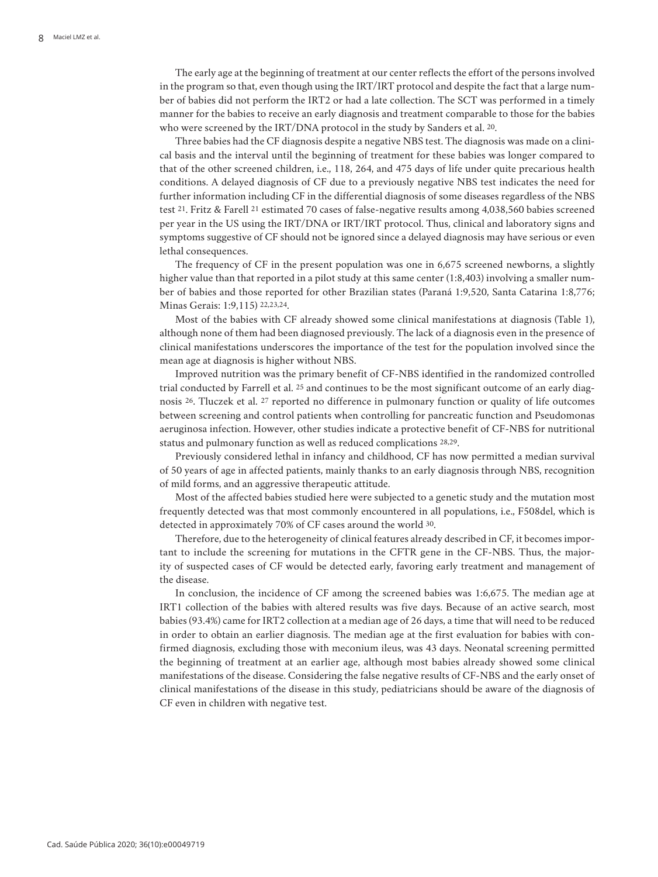The early age at the beginning of treatment at our center reflects the effort of the persons involved in the program so that, even though using the IRT/IRT protocol and despite the fact that a large number of babies did not perform the IRT2 or had a late collection. The SCT was performed in a timely manner for the babies to receive an early diagnosis and treatment comparable to those for the babies who were screened by the IRT/DNA protocol in the study by Sanders et al. 20.

Three babies had the CF diagnosis despite a negative NBS test. The diagnosis was made on a clinical basis and the interval until the beginning of treatment for these babies was longer compared to that of the other screened children, i.e., 118, 264, and 475 days of life under quite precarious health conditions. A delayed diagnosis of CF due to a previously negative NBS test indicates the need for further information including CF in the differential diagnosis of some diseases regardless of the NBS test 21. Fritz & Farell 21 estimated 70 cases of false-negative results among 4,038,560 babies screened per year in the US using the IRT/DNA or IRT/IRT protocol. Thus, clinical and laboratory signs and symptoms suggestive of CF should not be ignored since a delayed diagnosis may have serious or even lethal consequences.

The frequency of CF in the present population was one in 6,675 screened newborns, a slightly higher value than that reported in a pilot study at this same center (1:8,403) involving a smaller number of babies and those reported for other Brazilian states (Paraná 1:9,520, Santa Catarina 1:8,776; Minas Gerais: 1:9,115) 22,23,24.

Most of the babies with CF already showed some clinical manifestations at diagnosis (Table 1), although none of them had been diagnosed previously. The lack of a diagnosis even in the presence of clinical manifestations underscores the importance of the test for the population involved since the mean age at diagnosis is higher without NBS.

Improved nutrition was the primary benefit of CF-NBS identified in the randomized controlled trial conducted by Farrell et al. 25 and continues to be the most significant outcome of an early diagnosis 26. Tluczek et al. 27 reported no difference in pulmonary function or quality of life outcomes between screening and control patients when controlling for pancreatic function and Pseudomonas aeruginosa infection. However, other studies indicate a protective benefit of CF-NBS for nutritional status and pulmonary function as well as reduced complications 28,29.

Previously considered lethal in infancy and childhood, CF has now permitted a median survival of 50 years of age in affected patients, mainly thanks to an early diagnosis through NBS, recognition of mild forms, and an aggressive therapeutic attitude.

Most of the affected babies studied here were subjected to a genetic study and the mutation most frequently detected was that most commonly encountered in all populations, i.e., F508del, which is detected in approximately 70% of CF cases around the world 30.

Therefore, due to the heterogeneity of clinical features already described in CF, it becomes important to include the screening for mutations in the CFTR gene in the CF-NBS. Thus, the majority of suspected cases of CF would be detected early, favoring early treatment and management of the disease.

In conclusion, the incidence of CF among the screened babies was 1:6,675. The median age at IRT1 collection of the babies with altered results was five days. Because of an active search, most babies (93.4%) came for IRT2 collection at a median age of 26 days, a time that will need to be reduced in order to obtain an earlier diagnosis. The median age at the first evaluation for babies with confirmed diagnosis, excluding those with meconium ileus, was 43 days. Neonatal screening permitted the beginning of treatment at an earlier age, although most babies already showed some clinical manifestations of the disease. Considering the false negative results of CF-NBS and the early onset of clinical manifestations of the disease in this study, pediatricians should be aware of the diagnosis of CF even in children with negative test.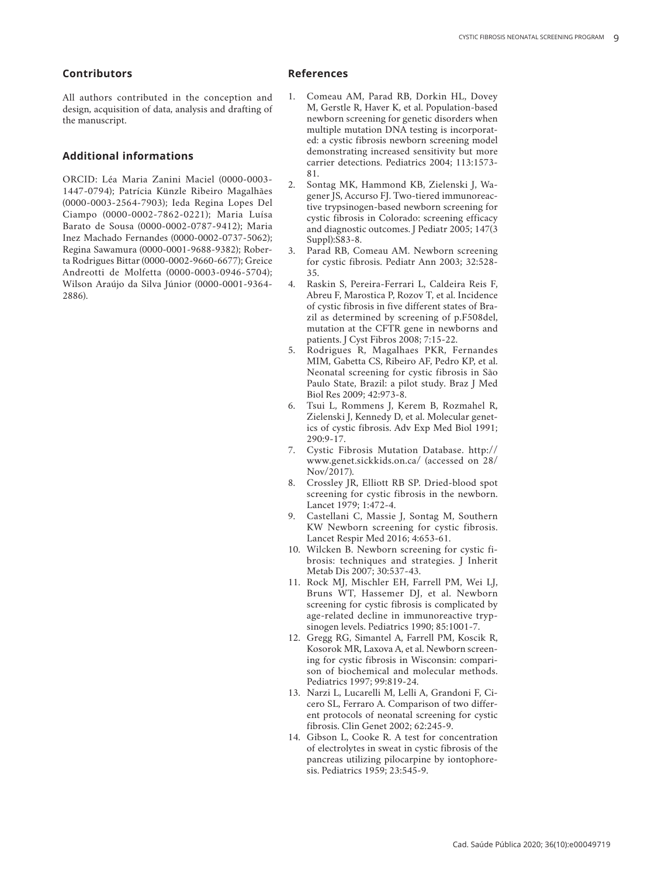# **Contributors**

All authors contributed in the conception and design, acquisition of data, analysis and drafting of the manuscript.

# **Additional informations**

ORCID: Léa Maria Zanini Maciel (0000-0003- 1447-0794); Patrícia Künzle Ribeiro Magalhães (0000-0003-2564-7903); Ieda Regina Lopes Del Ciampo (0000-0002-7862-0221); Maria Luísa Barato de Sousa (0000-0002-0787-9412); Maria Inez Machado Fernandes (0000-0002-0737-5062); Regina Sawamura (0000-0001-9688-9382); Rober ta Rodrigues Bittar (0000-0002-9660-6677); Greice Andreotti de Molfetta (0000-0003-0946-5704); Wilson Araújo da Silva Júnior (0000-0001-9364- 2886).

## **References**

- 1. Comeau AM, Parad RB, Dorkin HL, Dovey M, Gerstle R, Haver K, et al. Population-based newborn screening for genetic disorders when multiple mutation DNA testing is incorporat ed: a cystic fibrosis newborn screening model demonstrating increased sensitivity but more carrier detections. Pediatrics 2004; 113:1573- 81.
- 2. Sontag MK, Hammond KB, Zielenski J, Wa gener JS, Accurso FJ. Two-tiered immunoreac tive trypsinogen-based newborn screening for cystic fibrosis in Colorado: screening efficacy and diagnostic outcomes. J Pediatr 2005; 147(3 Suppl):S83-8.
- 3. Parad RB, Comeau AM. Newborn screening for cystic fibrosis. Pediatr Ann 2003; 32:528- 35.
- 4. Raskin S, Pereira-Ferrari L, Caldeira Reis F, Abreu F, Marostica P, Rozov T, et al. Incidence of cystic fibrosis in five different states of Bra zil as determined by screening of p.F508del, mutation at the CFTR gene in newborns and patients. J Cyst Fibros 2008; 7:15-22.
- 5. Rodrigues R, Magalhaes PKR, Fernandes MIM, Gabetta CS, Ribeiro AF, Pedro KP, et al. Neonatal screening for cystic fibrosis in São Paulo State, Brazil: a pilot study. Braz J Med Biol Res 2009; 42:973-8.
- 6. Tsui L, Rommens J, Kerem B, Rozmahel R, Zielenski J, Kennedy D, et al. Molecular genet ics of cystic fibrosis. Adv Exp Med Biol 1991; 290:9-17.
- 7. Cystic Fibrosis Mutation Database. http:// www.genet.sickkids.on.ca/ (accessed on 28/ Nov/2017).
- 8. Crossley JR, Elliott RB SP. Dried-blood spot screening for cystic fibrosis in the newborn. Lancet 1979; 1:472-4.
- 9. Castellani C, Massie J, Sontag M, Southern KW Newborn screening for cystic fibrosis. Lancet Respir Med 2016; 4:653-61.
- 10. Wilcken B. Newborn screening for cystic fi brosis: techniques and strategies. J Inherit Metab Dis 2007; 30:537-43.
- 11. Rock MJ, Mischler EH, Farrell PM, Wei LJ, Bruns WT, Hassemer DJ, et al. Newborn screening for cystic fibrosis is complicated by age-related decline in immunoreactive tryp sinogen levels. Pediatrics 1990; 85:1001-7.
- 12. Gregg RG, Simantel A, Farrell PM, Koscik R, Kosorok MR, Laxova A, et al. Newborn screen ing for cystic fibrosis in Wisconsin: compari son of biochemical and molecular methods. Pediatrics 1997; 99:819-24.
- 13. Narzi L, Lucarelli M, Lelli A, Grandoni F, Ci cero SL, Ferraro A. Comparison of two differ ent protocols of neonatal screening for cystic fibrosis. Clin Genet 2002; 62:245-9.
- 14. Gibson L, Cooke R. A test for concentration of electrolytes in sweat in cystic fibrosis of the pancreas utilizing pilocarpine by iontophore sis. Pediatrics 1959; 23:545-9.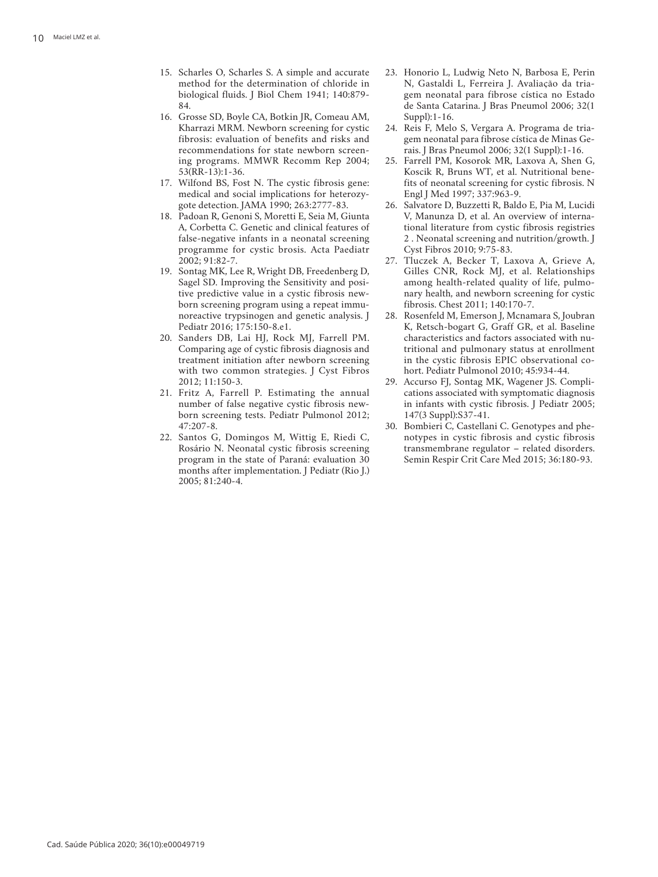- 15. Scharles O, Scharles S. A simple and accurate method for the determination of chloride in biological fluids. J Biol Chem 1941; 140:879- 84.
- 16. Grosse SD, Boyle CA, Botkin JR, Comeau AM, Kharrazi MRM. Newborn screening for cystic fibrosis: evaluation of benefits and risks and recommendations for state newborn screen ing programs. MMWR Recomm Rep 2004; 53(RR-13):1-36.
- 17. Wilfond BS, Fost N. The cystic fibrosis gene: medical and social implications for heterozy gote detection. JAMA 1990; 263:2777-83.
- 18. Padoan R, Genoni S, Moretti E, Seia M, Giunta A, Corbetta C. Genetic and clinical features of false-negative infants in a neonatal screening programme for cystic brosis. Acta Paediatr 2002; 91:82-7.
- 19. Sontag MK, Lee R, Wright DB, Freedenberg D, Sagel SD. Improving the Sensitivity and posi tive predictive value in a cystic fibrosis new born screening program using a repeat immu noreactive trypsinogen and genetic analysis. J Pediatr 2016; 175:150-8.e1.
- 20. Sanders DB, Lai HJ, Rock MJ, Farrell PM. Comparing age of cystic fibrosis diagnosis and treatment initiation after newborn screening with two common strategies. J Cyst Fibros 2012; 11:150-3.
- 21. Fritz A, Farrell P. Estimating the annual number of false negative cystic fibrosis new born screening tests. Pediatr Pulmonol 2012; 47:207-8.
- 22. Santos G, Domingos M, Wittig E, Riedi C, Rosário N. Neonatal cystic fibrosis screening program in the state of Paraná: evaluation 30 months after implementation. J Pediatr (Rio J.) 2005; 81:240-4.
- 23. Honorio L, Ludwig Neto N, Barbosa E, Perin N, Gastaldi L, Ferreira J. Avaliação da tria gem neonatal para fibrose cística no Estado de Santa Catarina. J Bras Pneumol 2006; 32(1 Suppl):1-16.
- 24. Reis F, Melo S, Vergara A. Programa de tria gem neonatal para fibrose cística de Minas Ge rais. J Bras Pneumol 2006; 32(1 Suppl):1-16.
- 25. Farrell PM, Kosorok MR, Laxova A, Shen G, Koscik R, Bruns WT, et al. Nutritional bene fits of neonatal screening for cystic fibrosis. N Engl J Med 1997; 337:963-9.
- 26. Salvatore D, Buzzetti R, Baldo E, Pia M, Lucidi V, Manunza D, et al. An overview of interna tional literature from cystic fibrosis registries 2 . Neonatal screening and nutrition/growth. J Cyst Fibros 2010; 9:75-83.
- 27. Tluczek A, Becker T, Laxova A, Grieve A, Gilles CNR, Rock MJ, et al. Relationships among health-related quality of life, pulmo nary health, and newborn screening for cystic fibrosis. Chest 2011; 140:170-7.
- 28. Rosenfeld M, Emerson J, Mcnamara S, Joubran K, Retsch-bogart G, Graff GR, et al. Baseline characteristics and factors associated with nu tritional and pulmonary status at enrollment in the cystic fibrosis EPIC observational co hort. Pediatr Pulmonol 2010; 45:934-44.
- 29. Accurso FJ, Sontag MK, Wagener JS. Compli cations associated with symptomatic diagnosis in infants with cystic fibrosis. J Pediatr 2005; 147(3 Suppl):S37-41.
- 30. Bombieri C, Castellani C. Genotypes and phe notypes in cystic fibrosis and cystic fibrosis transmembrane regulator – related disorders. Semin Respir Crit Care Med 2015; 36:180-93.